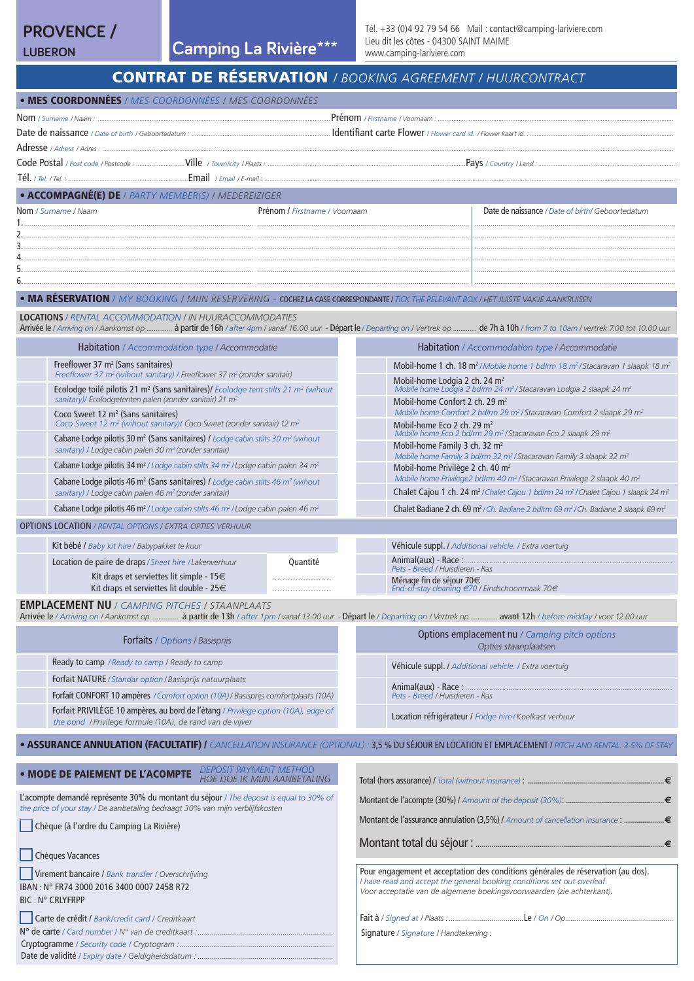# **PROVENCE /**

**LUBERON Camping La Rivière \*\*\***

• MES COORDONNÉES*/ MES COORDONNÉES / MES COORDONNÉES*

# CONTRAT DE RÉSERVATION */ BOOKING AGREEMENT / HUURCONTRACT*

| • ACCOMPAGNÉ(E) DE / PARTY MEMBER(S) / MEDEREIZIGER                                                                                                                                                                                                        |                                                                                                                                                                                                                                  |
|------------------------------------------------------------------------------------------------------------------------------------------------------------------------------------------------------------------------------------------------------------|----------------------------------------------------------------------------------------------------------------------------------------------------------------------------------------------------------------------------------|
| Prénom / Firstname / Voornaam<br><b>Nom</b> / Surname / Naam                                                                                                                                                                                               | Date de naissance / Date of birth/ Geboortedatum                                                                                                                                                                                 |
|                                                                                                                                                                                                                                                            |                                                                                                                                                                                                                                  |
|                                                                                                                                                                                                                                                            |                                                                                                                                                                                                                                  |
|                                                                                                                                                                                                                                                            |                                                                                                                                                                                                                                  |
|                                                                                                                                                                                                                                                            |                                                                                                                                                                                                                                  |
| • MA RESERVATION / MY BOOKING / MIJN RESERVERING - COCHEZ LA CASE CORRESPONDANTE / TICK THE RELEVANT BOX / HET JUISTE VAKJE AANKRUISEN                                                                                                                     |                                                                                                                                                                                                                                  |
| <b>LOCATIONS</b> / RENTAL ACCOMMODATION / IN HUURACCOMMODATIES<br>Arrivée le / Arriving on / Aankomst op  à partir de 16h / after 4pm / vanaf 16.00 uur - Départ le / Departing on / Vertrek op  de 7h à 10h / from 7 to 10am / vertrek 7.00 tot 10.00 uur |                                                                                                                                                                                                                                  |
| Habitation / Accommodation type / Accommodatie                                                                                                                                                                                                             | Habitation / Accommodation type / Accommodatie                                                                                                                                                                                   |
| Freeflower 37 m <sup>2</sup> (Sans sanitaires)                                                                                                                                                                                                             | Mobil-home 1 ch. 18 m <sup>2</sup> /Mobile home 1 bd/rm 18 m <sup>2</sup> /Stacaravan 1 slaapk 18 m <sup>2</sup>                                                                                                                 |
| Freeflower 37 m <sup>2</sup> (wihout sanitary) / Freeflower 37 m <sup>2</sup> (zonder sanitair)<br>Ecolodge toilé pilotis 21 m <sup>2</sup> (Sans sanitaires)/ Ecolodge tent stilts 21 m <sup>2</sup> (wihout                                              | Mobil-home Lodgia 2 ch. 24 m <sup>2</sup><br>Mobile home Lodgia 2 bd/rm 24 m <sup>2</sup> / Stacaravan Lodgia 2 slaapk 24 m <sup>2</sup>                                                                                         |
| sanitary)/ Ecolodgetenten palen (zonder sanitair) 21 m <sup>2</sup>                                                                                                                                                                                        | Mobil-home Confort 2 ch. 29 $m2$                                                                                                                                                                                                 |
| Coco Sweet 12 m <sup>2</sup> (Sans sanitaires)<br>Coco Sweet 12 m <sup>2</sup> (wihout sanitary)/ Coco Sweet (zonder sanitair) 12 m <sup>2</sup>                                                                                                           | Mobile home Comfort 2 bd/rm 29 m <sup>2</sup> / Stacaravan Comfort 2 slaapk 29 m <sup>2</sup><br>Mobil-home Eco 2 ch. 29 m <sup>2</sup><br>Mobile home Eco 2 bd/rm 29 m <sup>2</sup> / Stacaravan Eco 2 slaapk 29 m <sup>2</sup> |
| Cabane Lodge pilotis 30 m <sup>2</sup> (Sans sanitaires) / Lodge cabin stilts 30 m <sup>2</sup> (wihout<br>sanitary) / Lodge cabin palen 30 m <sup>2</sup> (zonder sanitair)                                                                               | Mobil-home Family 3 ch. 32 m <sup>2</sup><br>Mobile home Family 3 bd/rm 32 m <sup>2</sup> / Stacaravan Family 3 slaapk 32 m <sup>2</sup>                                                                                         |
| Cabane Lodge pilotis 34 m <sup>2</sup> / Lodge cabin stilts 34 m <sup>2</sup> / Lodge cabin palen 34 m <sup>2</sup>                                                                                                                                        | Mobil-home Privilège 2 ch. 40 m <sup>2</sup>                                                                                                                                                                                     |
| Cabane Lodge pilotis 46 m <sup>2</sup> (Sans sanitaires) / Lodge cabin stilts 46 m <sup>2</sup> (wihout<br>sanitary) / Lodge cabin palen 46 m <sup>2</sup> (zonder sanitair)                                                                               | Mobile home Privilege2 bd/rm 40 m <sup>2</sup> /Stacaravan Privilege 2 slaapk 40 m <sup>2</sup><br>Chalet Cajou 1 ch. 24 m <sup>2</sup> /Chalet Cajou 1 bd/rm 24 m <sup>2</sup> /Chalet Cajou 1 slaapk 24 m <sup>2</sup>         |
| Cabane Lodge pilotis 46 m <sup>2</sup> / Lodge cabin stilts 46 m <sup>2</sup> / Lodge cabin palen 46 m <sup>2</sup>                                                                                                                                        | Chalet Badiane 2 ch. 69 m <sup>2</sup> /Ch. Badiane 2 bd/rm 69 m <sup>2</sup> /Ch. Badiane 2 slaapk 69 m <sup>2</sup>                                                                                                            |
| <b>OPTIONS LOCATION / RENTAL OPTIONS / EXTRA OPTIES VERHUUR</b>                                                                                                                                                                                            |                                                                                                                                                                                                                                  |
| Kit bébé / Baby kit hire / Babypakket te kuur                                                                                                                                                                                                              | Véhicule suppl. / Additional vehicle. / Extra voertuig                                                                                                                                                                           |
| Location de paire de draps / Sheet hire / Lakenverhuur<br>Quantité                                                                                                                                                                                         |                                                                                                                                                                                                                                  |
| Kit draps et serviettes lit simple - 15€                                                                                                                                                                                                                   | Pets - Breed / Huisdieren - Ras<br>Ménage fin de séjour 70€                                                                                                                                                                      |
| Kit draps et serviettes lit double - 25€<br>.                                                                                                                                                                                                              | End-of-stay cleaning $\in 70$ / Eindschoonmaak 70 $\in$                                                                                                                                                                          |
| <b>EMPLACEMENT NU / CAMPING PITCHES / STAANPLAATS</b><br>Arrivée le / Arriving on / Aankomst op  à partir de 13h / after 1pm / vanaf 13.00 uur - Départ le / Departing on / Vertrek op  avant 12h / before midday / voor 12.00 uur                         |                                                                                                                                                                                                                                  |
| <b>Forfaits</b> / Options / Basisprijs                                                                                                                                                                                                                     | Options emplacement nu / Camping pitch options<br>Opties staanplaatsen                                                                                                                                                           |
| Ready to camp / Ready to camp / Ready to camp                                                                                                                                                                                                              | Véhicule suppl. / Additional vehicle. / Extra voertuig                                                                                                                                                                           |
| Forfait NATURE / Standar option / Basisprijs natuurplaats                                                                                                                                                                                                  |                                                                                                                                                                                                                                  |
| Forfait CONFORT 10 ampères / Comfort option (10A) / Basisprijs comfortplaats (10A)                                                                                                                                                                         |                                                                                                                                                                                                                                  |
| Forfait PRIVILÈGE 10 ampères, au bord de l'étang / Privilege option (10A), edge of<br>the pond / Privilege formule (10A), de rand van de vijver                                                                                                            | Location réfrigérateur / Fridge hire / Koelkast verhuur                                                                                                                                                                          |
| <b>• ASSURANCE ANNULATION (FACULTATIF) /</b> CANCELLATION INSURANCE (OPTIONAL) : 3,5 % DU SÉJOUR EN LOCATION ET EMPLACEMENT / PITCH AND RENTAL: 3.5% OF STAY                                                                                               |                                                                                                                                                                                                                                  |
| <b>DEPOSIT PAYMENT METHOD</b><br>• MODE DE PAIEMENT DE L'ACOMPTE<br><b>HOE DOE IK MIJN AANBETALING</b>                                                                                                                                                     |                                                                                                                                                                                                                                  |
| L'acompte demandé représente 30% du montant du séjour / The deposit is equal to 30% of                                                                                                                                                                     |                                                                                                                                                                                                                                  |
| the price of your stay / De aanbetaling bedraagt 30% van mijn verblijfskosten                                                                                                                                                                              | Montant de l'assurance annulation (3,5%) / Amount of cancellation insurance : €                                                                                                                                                  |
| Chèque (à l'ordre du Camping La Rivière)                                                                                                                                                                                                                   |                                                                                                                                                                                                                                  |
| Chèques Vacances                                                                                                                                                                                                                                           |                                                                                                                                                                                                                                  |
| Virement bancaire / Bank transfer / Overschrijving                                                                                                                                                                                                         | Pour engagement et acceptation des conditions générales de réservation (au dos).                                                                                                                                                 |
| IBAN: N° FR74 3000 2016 3400 0007 2458 R72<br><b>BIC: N° CRLYFRPP</b>                                                                                                                                                                                      | I have read and accept the general booking conditions set out overleaf.<br>Voor acceptatie van de algemene boekingsvoorwaarden (zie achterkant).                                                                                 |
| Carte de crédit / Bank/credit card / Creditkaart                                                                                                                                                                                                           |                                                                                                                                                                                                                                  |
|                                                                                                                                                                                                                                                            | Signature / Signature / Handtekening :                                                                                                                                                                                           |
|                                                                                                                                                                                                                                                            |                                                                                                                                                                                                                                  |
|                                                                                                                                                                                                                                                            |                                                                                                                                                                                                                                  |